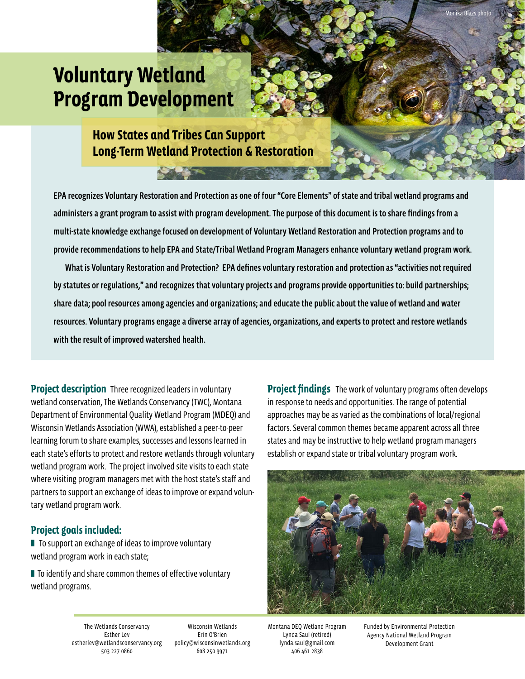# **Voluntary Wetland Program Development**

**How States and Tribes Can Support Long-Term Wetland Protection & Restoration**

EPA recognizes Voluntary Restoration and Protection as one of four "Core Elements" of state and tribal wetland programs and administers a grant program to assist with program development. The purpose of this document is to share findings from a multi-state knowledge exchange focused on development of Voluntary Wetland Restoration and Protection programs and to provide recommendations to help EPA and State/Tribal Wetland Program Managers enhance voluntary wetland program work. What is Voluntary Restoration and Protection? EPA defines voluntary restoration and protection as "activities not required

by statutes or regulations," and recognizes that voluntary projects and programs provide opportunities to: build partnerships; share data; pool resources among agencies and organizations; and educate the public about the value of wetland and water resources. Voluntary programs engage a diverse array of agencies, organizations, and experts to protect and restore wetlands with the result of improved watershed health.

**Project description** Three recognized leaders in voluntary wetland conservation, The Wetlands Conservancy (TWC), Montana Department of Environmental Quality Wetland Program (MDEQ) and Wisconsin Wetlands Association (WWA), established a peer-to-peer learning forum to share examples, successes and lessons learned in each state's efforts to protect and restore wetlands through voluntary wetland program work. The project involved site visits to each state where visiting program managers met with the host state's staff and partners to support an exchange of ideas to improve or expand voluntary wetland program work.

### **Project goals included:**

■ To support an exchange of ideas to improve voluntary wetland program work in each state;

■ To identify and share common themes of effective voluntary wetland programs.

**Project findings** The work of voluntary programs often develops in response to needs and opportunities. The range of potential approaches may be as varied as the combinations of local/regional factors. Several common themes became apparent across all three states and may be instructive to help wetland program managers establish or expand state or tribal voluntary program work.

Monika Blazs photo



The Wetlands Conservancy Esther Lev [estherlev@wetlandsconservancy.org](mailto:estherlev@wetlandsconservancy.org) 503 227 0860

Wisconsin Wetlands Erin O'Brien [policy@wisconsinwetlands.org](mailto:policy@wisconsinwetlands.org) 608 250 9971

Montana DEQ Wetland Program Lynda Saul (retired) [lynda.saul@gmail.com](mailto:lynda.saul@gmail.com) 406 461 2838

Funded by Environmental Protection Agency National Wetland Program Development Grant